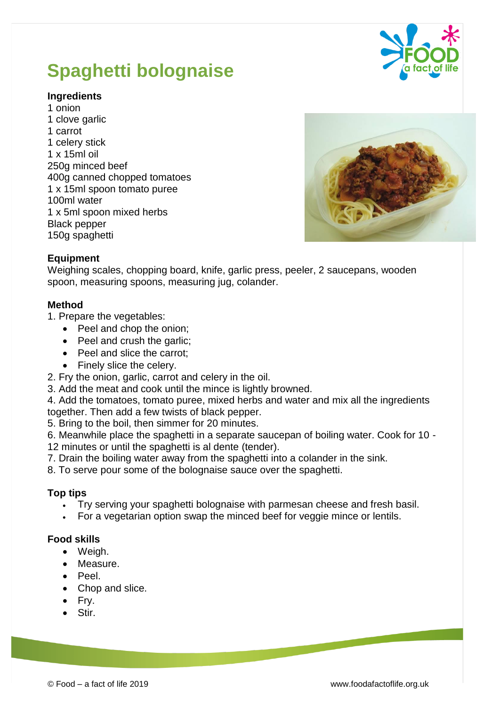#### © Food – a fact of life 2019 www.foodafactoflife.org.uk

# **Spaghetti bolognaise**

## **Ingredients**

1 onion 1 clove garlic 1 carrot 1 celery stick 1 x 15ml oil 250g minced beef 400g canned chopped tomatoes 1 x 15ml spoon tomato puree 100ml water 1 x 5ml spoon mixed herbs Black pepper 150g spaghetti



### **Method**

- 1. Prepare the vegetables:
	- Peel and chop the onion;
	- Peel and crush the garlic;
	- Peel and slice the carrot;
	- Finely slice the celery.
- 2. Fry the onion, garlic, carrot and celery in the oil.
- 3. Add the meat and cook until the mince is lightly browned.
- 4. Add the tomatoes, tomato puree, mixed herbs and water and mix all the ingredients together. Then add a few twists of black pepper.
- 5. Bring to the boil, then simmer for 20 minutes.
- 6. Meanwhile place the spaghetti in a separate saucepan of boiling water. Cook for 10 12 minutes or until the spaghetti is al dente (tender).
- 7. Drain the boiling water away from the spaghetti into a colander in the sink.
- 8. To serve pour some of the bolognaise sauce over the spaghetti.

### **Top tips**

- Try serving your spaghetti bolognaise with parmesan cheese and fresh basil.
- For a vegetarian option swap the minced beef for veggie mince or lentils.

### **Food skills**

- Weigh.
- Measure.
- Peel.
- Chop and slice.
- Fry.
- Stir.